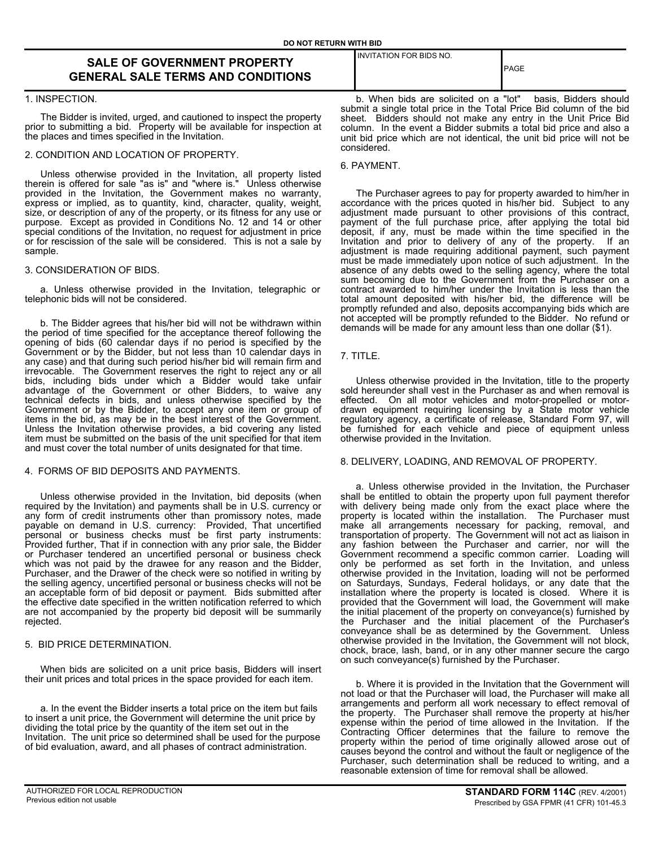# **SALE OF GOVERNMENT PROPERTY GENERAL SALE TERMS AND CONDITIONS**

#### 1. INSPECTION.

The Bidder is invited, urged, and cautioned to inspect the property prior to submitting a bid. Property will be available for inspection at the places and times specified in the Invitation.

#### 2. CONDITION AND LOCATION OF PROPERTY.

Unless otherwise provided in the Invitation, all property listed therein is offered for sale "as is" and "where is." Unless otherwise provided in the Invitation, the Government makes no warranty, express or implied, as to quantity, kind, character, quality, weight, size, or description of any of the property, or its fitness for any use or purpose. Except as provided in Conditions No. 12 and 14 or other special conditions of the Invitation, no request for adjustment in price or for rescission of the sale will be considered. This is not a sale by sample.

## 3. CONSIDERATION OF BIDS.

a. Unless otherwise provided in the Invitation, telegraphic or telephonic bids will not be considered.

b. The Bidder agrees that his/her bid will not be withdrawn within the period of time specified for the acceptance thereof following the opening of bids (60 calendar days if no period is specified by the Government or by the Bidder, but not less than 10 calendar days in any case) and that during such period his/her bid will remain firm and irrevocable. The Government reserves the right to reject any or all bids, including bids under which a Bidder would take unfair advantage of the Government or other Bidders, to waive any technical defects in bids, and unless otherwise specified by the Government or by the Bidder, to accept any one item or group of items in the bid, as may be in the best interest of the Government. Unless the Invitation otherwise provides, a bid covering any listed item must be submitted on the basis of the unit specified for that item and must cover the total number of units designated for that time.

# 4. FORMS OF BID DEPOSITS AND PAYMENTS.

Unless otherwise provided in the Invitation, bid deposits (when required by the Invitation) and payments shall be in U.S. currency or any form of credit instruments other than promissory notes, made payable on demand in U.S. currency: Provided, That uncertified personal or business checks must be first party instruments: Provided further, That if in connection with any prior sale, the Bidder or Purchaser tendered an uncertified personal or business check which was not paid by the drawee for any reason and the Bidder, Purchaser, and the Drawer of the check were so notified in writing by the selling agency, uncertified personal or business checks will not be an acceptable form of bid deposit or payment. Bids submitted after the effective date specified in the written notification referred to which are not accompanied by the property bid deposit will be summarily rejected.

# 5. BID PRICE DETERMINATION.

When bids are solicited on a unit price basis, Bidders will insert their unit prices and total prices in the space provided for each item.

a. In the event the Bidder inserts a total price on the item but fails to insert a unit price, the Government will determine the unit price by dividing the total price by the quantity of the item set out in the Invitation. The unit price so determined shall be used for the purpose of bid evaluation, award, and all phases of contract administration.

INVITATION FOR BIDS NO.

PAGE

b. When bids are solicited on a "lot" basis, Bidders should submit a single total price in the Total Price Bid column of the bid sheet. Bidders should not make any entry in the Unit Price Bid column. In the event a Bidder submits a total bid price and also a unit bid price which are not identical, the unit bid price will not be considered.

#### 6. PAYMENT.

The Purchaser agrees to pay for property awarded to him/her in accordance with the prices quoted in his/her bid. Subject to any adjustment made pursuant to other provisions of this contract, payment of the full purchase price, after applying the total bid deposit, if any, must be made within the time specified in the Invitation and prior to delivery of any of the property. If an adjustment is made requiring additional payment, such payment must be made immediately upon notice of such adjustment. In the absence of any debts owed to the selling agency, where the total sum becoming due to the Government from the Purchaser on a contract awarded to him/her under the Invitation is less than the total amount deposited with his/her bid, the difference will be promptly refunded and also, deposits accompanying bids which are not accepted will be promptly refunded to the Bidder. No refund or demands will be made for any amount less than one dollar (\$1).

# 7. TITLE.

Unless otherwise provided in the Invitation, title to the property sold hereunder shall vest in the Purchaser as and when removal is effected. On all motor vehicles and motor-propelled or motor-On all motor vehicles and motor-propelled or motordrawn equipment requiring licensing by a State motor vehicle regulatory agency, a certificate of release, Standard Form 97, will be furnished for each vehicle and piece of equipment unless otherwise provided in the Invitation.

# 8. DELIVERY, LOADING, AND REMOVAL OF PROPERTY.

a. Unless otherwise provided in the Invitation, the Purchaser shall be entitled to obtain the property upon full payment therefor with delivery being made only from the exact place where the property is located within the installation. The Purchaser must make all arrangements necessary for packing, removal, and transportation of property. The Government will not act as liaison in any fashion between the Purchaser and carrier, nor will the Government recommend a specific common carrier. Loading will only be performed as set forth in the Invitation, and unless otherwise provided in the Invitation, loading will not be performed on Saturdays, Sundays, Federal holidays, or any date that the installation where the property is located is closed. Where it is provided that the Government will load, the Government will make the initial placement of the property on conveyance(s) furnished by the Purchaser and the initial placement of the Purchaser's conveyance shall be as determined by the Government. Unless otherwise provided in the Invitation, the Government will not block, chock, brace, lash, band, or in any other manner secure the cargo on such conveyance(s) furnished by the Purchaser.

b. Where it is provided in the Invitation that the Government will not load or that the Purchaser will load, the Purchaser will make all arrangements and perform all work necessary to effect removal of the property. The Purchaser shall remove the property at his/her expense within the period of time allowed in the Invitation. If the Contracting Officer determines that the failure to remove the property within the period of time originally allowed arose out of causes beyond the control and without the fault or negligence of the Purchaser, such determination shall be reduced to writing, and a reasonable extension of time for removal shall be allowed.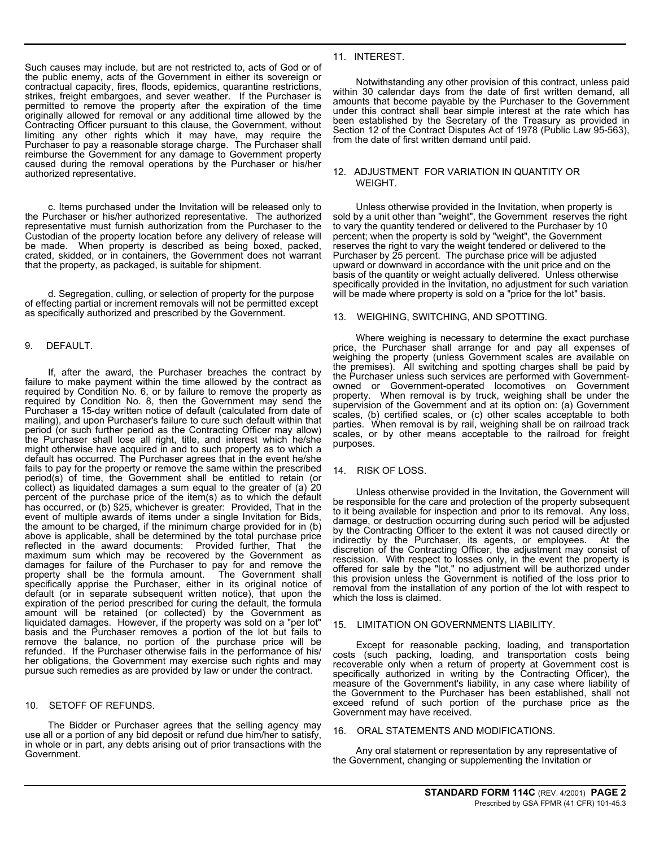Such causes may include, but are not restricted to, acts of God or of the public enemy, acts of the Government in either its sovereign or contractual capacity, fires, floods, epidemics, quarantine restrictions, strikes, freight embargoes, and sever weather. If the Purchaser is permitted to remove the property after the expiration of the time originally allowed for removal or any additional time allowed by the Contracting Officer pursuant to this clause, the Government, without limiting any other rights which it may have, may require the Purchaser to pay a reasonable storage charge. The Purchaser shall reimburse the Government for any damage to Government property caused during the removal operations by the Purchaser or his/her authorized representative.

c. Items purchased under the Invitation will be released only to the Purchaser or his/her authorized representative. The authorized representative must furnish authorization from the Purchaser to the Custodian of the property location before any delivery of release will be made. When property is described as being boxed, packed, crated, skidded, or in containers, the Government does not warrant that the property, as packaged, is suitable for shipment.

d. Segregation, culling, or selection of property for the purpose of effecting partial or increment removals will not be permitted except as specifically authorized and prescribed by the Government.

# 9. DEFAULT.

If, after the award, the Purchaser breaches the contract by failure to make payment within the time allowed by the contract as required by Condition No. 6, or by failure to remove the property as required by Condition No. 8, then the Government may send the Purchaser a 15-day written notice of default (calculated from date of mailing), and upon Purchaser's failure to cure such default within that period (or such further period as the Contracting Officer may allow) the Purchaser shall lose all right, title, and interest which he/she might otherwise have acquired in and to such property as to which a default has occurred. The Purchaser agrees that in the event he/she fails to pay for the property or remove the same within the prescribed period(s) of time, the Government shall be entitled to retain (or collect) as liquidated damages a sum equal to the greater of (a) 20 percent of the purchase price of the item(s) as to which the default has occurred, or (b) \$25, whichever is greater: Provided, That in the event of multiple awards of items under a single Invitation for Bids, the amount to be charged, if the minimum charge provided for in  $(b)$ above is applicable, shall be determined by the total purchase price reflected in the award documents: Provided further. That the maximum sum which may be recovered by the Government as damages for failure of the Purchaser to pay for and remove the property shall be the formula amount. The Government shall specifically apprise the Purchaser, either in its original notice of default (or in separate subsequent written notice), that upon the expiration of the period prescribed for curing the default, the formula amount will be retained (or collected) by the Government as liquidated damages. However, if the property was sold on a "per lot" basis and the Purchaser removes a portion of the lot but fails to remove the balance, no portion of the purchase price will be refunded. If the Purchaser otherwise fails in the performance of his/ her obligations, the Government may exercise such rights and may pursue such remedies as are provided by law or under the contract.

# 10. SETOFF OF REFUNDS.

The Bidder or Purchaser agrees that the selling agency may use all or a portion of any bid deposit or refund due him/her to satisfy, in whole or in part, any debts arising out of prior transactions with the Government.

# 11. INTEREST.

Notwithstanding any other provision of this contract, unless paid within 30 calendar days from the date of first written demand, all amounts that become payable by the Purchaser to the Government under this contract shall bear simple interest at the rate which has been established by the Secretary of the Treasury as provided in Section 12 of the Contract Disputes Act of 1978 (Public Law 95-563), from the date of first written demand until paid.

#### 12. ADJUSTMENT FOR VARIATION IN QUANTITY OR WEIGHT.

Unless otherwise provided in the Invitation, when property is sold by a unit other than "weight", the Government reserves the right to vary the quantity tendered or delivered to the Purchaser by 10 percent; when the property is sold by "weight", the Government reserves the right to vary the weight tendered or delivered to the Purchaser by 25 percent. The purchase price will be adjusted upward or downward in accordance with the unit price and on the basis of the quantity or weight actually delivered. Unless otherwise specifically provided in the Invitation, no adjustment for such variation will be made where property is sold on a "price for the lot" basis.

# 13. WEIGHING, SWITCHING, AND SPOTTING.

Where weighing is necessary to determine the exact purchase price, the Purchaser shall arrange for and pay all expenses of weighing the property (unless Government scales are available on the premises). All switching and spotting charges shall be paid by the Purchaser unless such services are performed with Governmentowned or Government-operated locomotives on Government property. When removal is by truck, weighing shall be under the supervision of the Government and at its option on: (a) Government scales, (b) certified scales, or (c) other scales acceptable to both parties. When removal is by rail, weighing shall be on railroad track scales, or by other means acceptable to the railroad for freight purposes.

#### 14. RISK OF LOSS.

Unless otherwise provided in the Invitation, the Government will be responsible for the care and protection of the property subsequent to it being available for inspection and prior to its removal. Any loss, damage, or destruction occurring during such period will be adjusted by the Contracting Officer to the extent it was not caused directly or indirectly by the Purchaser, its agents, or employees. At the discretion of the Contracting Officer, the adjustment may consist of rescission. With respect to losses only, in the event the property is offered for sale by the "lot," no adjustment will be authorized under this provision unless the Government is notified of the loss prior to removal from the installation of any portion of the lot with respect to which the loss is claimed.

#### 15. LIMITATION ON GOVERNMENTS LIABILITY.

Except for reasonable packing, loading, and transportation costs (such packing, loading, and transportation costs being recoverable only when a return of property at Government cost is specifically authorized in writing by the Contracting Officer), the measure of the Government's liability, in any case where liability of the Government to the Purchaser has been established, shall not exceed refund of such portion of the purchase price as the Government may have received.

#### 16. ORAL STATEMENTS AND MODIFICATIONS.

Any oral statement or representation by any representative of the Government, changing or supplementing the Invitation or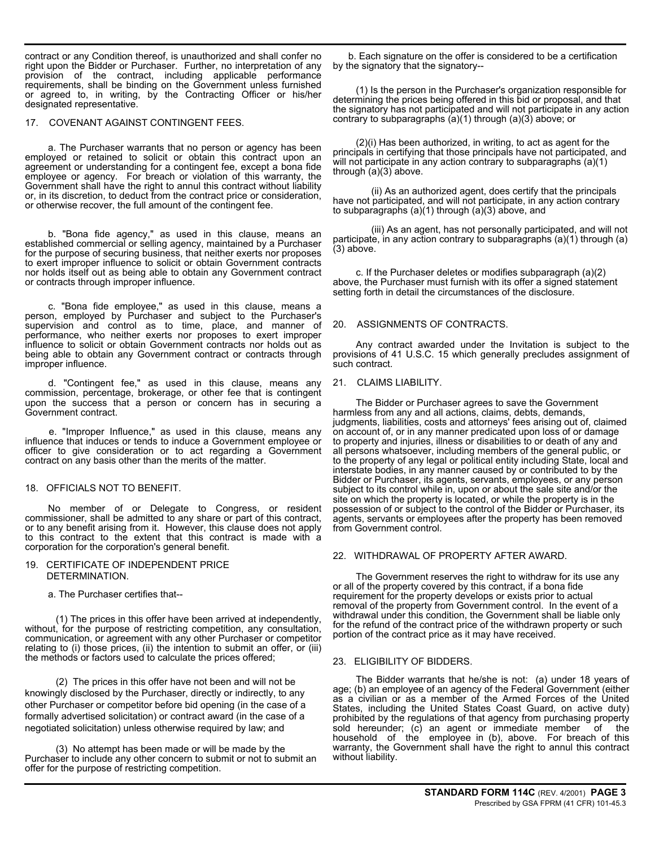contract or any Condition thereof, is unauthorized and shall confer no right upon the Bidder or Purchaser. Further, no interpretation of any provision of the contract, including applicable performance requirements, shall be binding on the Government unless furnished or agreed to, in writing, by the Contracting Officer or his/her designated representative.

#### 17. COVENANT AGAINST CONTINGENT FEES.

a. The Purchaser warrants that no person or agency has been employed or retained to solicit or obtain this contract upon an agreement or understanding for a contingent fee, except a bona fide employee or agency. For breach or violation of this warranty, the Government shall have the right to annul this contract without liability or, in its discretion, to deduct from the contract price or consideration, or otherwise recover, the full amount of the contingent fee.

b. "Bona fide agency," as used in this clause, means an established commercial or selling agency, maintained by a Purchaser for the purpose of securing business, that neither exerts nor proposes to exert improper influence to solicit or obtain Government contracts nor holds itself out as being able to obtain any Government contract or contracts through improper influence.

c. "Bona fide employee," as used in this clause, means a person, employed by Purchaser and subject to the Purchaser's supervision and control as to time, place, and manner of performance, who neither exerts nor proposes to exert improper influence to solicit or obtain Government contracts nor holds out as being able to obtain any Government contract or contracts through improper influence.

d. "Contingent fee," as used in this clause, means any commission, percentage, brokerage, or other fee that is contingent upon the success that a person or concern has in securing a Government contract.

e. "Improper Influence," as used in this clause, means any influence that induces or tends to induce a Government employee or officer to give consideration or to act regarding a Government contract on any basis other than the merits of the matter.

#### 18. OFFICIALS NOT TO BENEFIT.

No member of or Delegate to Congress, or resident commissioner, shall be admitted to any share or part of this contract, or to any benefit arising from it. However, this clause does not apply to this contract to the extent that this contract is made with a corporation for the corporation's general benefit.

# 19. CERTIFICATE OF INDEPENDENT PRICE DETERMINATION.

a. The Purchaser certifies that--

(1) The prices in this offer have been arrived at independently, without, for the purpose of restricting competition, any consultation, communication, or agreement with any other Purchaser or competitor relating to (i) those prices, (ii) the intention to submit an offer, or (iii) the methods or factors used to calculate the prices offered;

(2) The prices in this offer have not been and will not be knowingly disclosed by the Purchaser, directly or indirectly, to any other Purchaser or competitor before bid opening (in the case of a formally advertised solicitation) or contract award (in the case of a negotiated solicitation) unless otherwise required by law; and

(3) No attempt has been made or will be made by the Purchaser to include any other concern to submit or not to submit an offer for the purpose of restricting competition.

b. Each signature on the offer is considered to be a certification by the signatory that the signatory--

(1) Is the person in the Purchaser's organization responsible for determining the prices being offered in this bid or proposal, and that the signatory has not participated and will not participate in any action contrary to subparagraphs (a)(1) through (a)(3) above; or

(2)(i) Has been authorized, in writing, to act as agent for the principals in certifying that those principals have not participated, and will not participate in any action contrary to subparagraphs (a)(1) through (a)(3) above.

(ii) As an authorized agent, does certify that the principals have not participated, and will not participate, in any action contrary to subparagraphs (a)(1) through (a)(3) above, and

(iii) As an agent, has not personally participated, and will not participate, in any action contrary to subparagraphs (a)(1) through (a) (3) above.

c. If the Purchaser deletes or modifies subparagraph (a)(2) above, the Purchaser must furnish with its offer a signed statement setting forth in detail the circumstances of the disclosure.

#### 20. ASSIGNMENTS OF CONTRACTS.

Any contract awarded under the Invitation is subject to the provisions of 41 U.S.C. 15 which generally precludes assignment of such contract.

#### 21. CLAIMS LIABILITY.

The Bidder or Purchaser agrees to save the Government harmless from any and all actions, claims, debts, demands, judgments, liabilities, costs and attorneys' fees arising out of, claimed on account of, or in any manner predicated upon loss of or damage to property and injuries, illness or disabilities to or death of any and all persons whatsoever, including members of the general public, or to the property of any legal or political entity including State, local and interstate bodies, in any manner caused by or contributed to by the Bidder or Purchaser, its agents, servants, employees, or any person subject to its control while in, upon or about the sale site and/or the site on which the property is located, or while the property is in the possession of or subject to the control of the Bidder or Purchaser, its agents, servants or employees after the property has been removed from Government control.

#### 22. WITHDRAWAL OF PROPERTY AFTER AWARD.

The Government reserves the right to withdraw for its use any or all of the property covered by this contract, if a bona fide requirement for the property develops or exists prior to actual removal of the property from Government control. In the event of a withdrawal under this condition, the Government shall be liable only for the refund of the contract price of the withdrawn property or such portion of the contract price as it may have received.

#### 23. ELIGIBILITY OF BIDDERS.

The Bidder warrants that he/she is not: (a) under 18 years of age; (b) an employee of an agency of the Federal Government (either as a civilian or as a member of the Armed Forces of the United States, including the United States Coast Guard, on active duty) prohibited by the regulations of that agency from purchasing property sold hereunder; (c) an agent or immediate member of the household of the employee in (b), above. For breach of this warranty, the Government shall have the right to annul this contract without liability.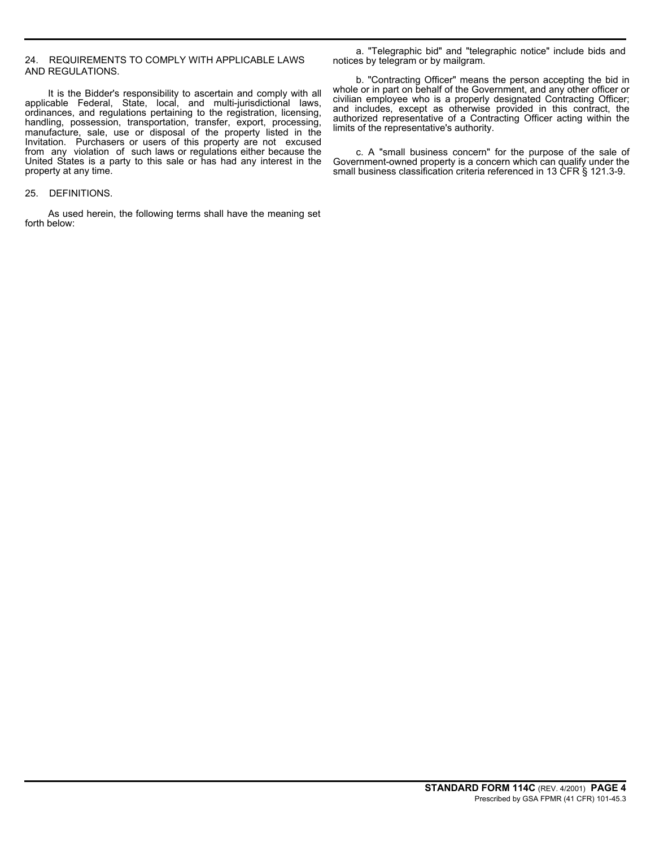# 24. REQUIREMENTS TO COMPLY WITH APPLICABLE LAWS AND REGULATIONS.

It is the Bidder's responsibility to ascertain and comply with all applicable Federal, State, local, and multi-jurisdictional laws, ordinances, and regulations pertaining to the registration, licensing, handling, possession, transportation, transfer, export, processing, manufacture, sale, use or disposal of the property listed in the Invitation. Purchasers or users of this property are not excused from any violation of such laws or regulations either because the United States is a party to this sale or has had any interest in the property at any time.

# 25. DEFINITIONS.

As used herein, the following terms shall have the meaning set forth below:

a. "Telegraphic bid" and "telegraphic notice" include bids and notices by telegram or by mailgram.

b. "Contracting Officer" means the person accepting the bid in whole or in part on behalf of the Government, and any other officer or civilian employee who is a properly designated Contracting Officer; and includes, except as otherwise provided in this contract, the authorized representative of a Contracting Officer acting within the limits of the representative's authority.

c. A "small business concern" for the purpose of the sale of Government-owned property is a concern which can qualify under the small business classification criteria referenced in 13 CFR § 121.3-9.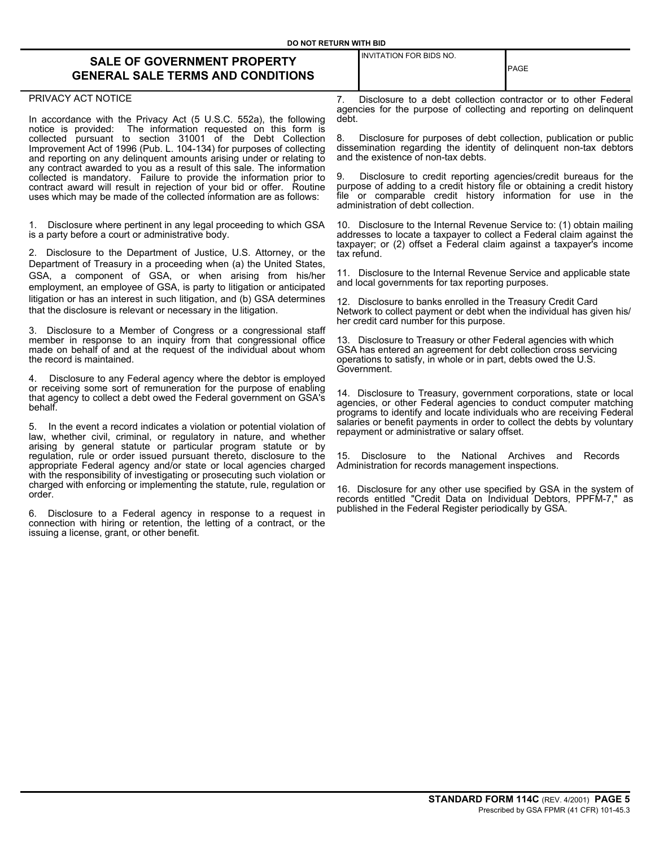INVITATION FOR BIDS NO.

# **SALE OF GOVERNMENT PROPERTY GENERAL SALE TERMS AND CONDITIONS**

#### PRIVACY ACT NOTICE

In accordance with the Privacy Act (5 U.S.C. 552a), the following notice is provided: The information requested on this form is The information requested on this form is collected pursuant to section 31001 of the Debt Collection Improvement Act of 1996 (Pub. L. 104-134) for purposes of collecting and reporting on any delinquent amounts arising under or relating to any contract awarded to you as a result of this sale. The information collected is mandatory. Failure to provide the information prior to contract award will result in rejection of your bid or offer. Routine uses which may be made of the collected information are as follows:

1. Disclosure where pertinent in any legal proceeding to which GSA is a party before a court or administrative body.

2. Disclosure to the Department of Justice, U.S. Attorney, or the Department of Treasury in a proceeding when (a) the United States, GSA, a component of GSA, or when arising from his/her employment, an employee of GSA, is party to litigation or anticipated litigation or has an interest in such litigation, and (b) GSA determines that the disclosure is relevant or necessary in the litigation.

3. Disclosure to a Member of Congress or a congressional staff member in response to an inquiry from that congressional office made on behalf of and at the request of the individual about whom the record is maintained.

4. Disclosure to any Federal agency where the debtor is employed or receiving some sort of remuneration for the purpose of enabling that agency to collect a debt owed the Federal government on GSA's behalf.

5. In the event a record indicates a violation or potential violation of law, whether civil, criminal, or regulatory in nature, and whether arising by general statute or particular program statute or by regulation, rule or order issued pursuant thereto, disclosure to the appropriate Federal agency and/or state or local agencies charged with the responsibility of investigating or prosecuting such violation or charged with enforcing or implementing the statute, rule, regulation or order.

6. Disclosure to a Federal agency in response to a request in connection with hiring or retention, the letting of a contract, or the issuing a license, grant, or other benefit.

7. Disclosure to a debt collection contractor or to other Federal agencies for the purpose of collecting and reporting on delinquent debt.

PAGE

Disclosure for purposes of debt collection, publication or public dissemination regarding the identity of delinquent non-tax debtors and the existence of non-tax debts.

9. Disclosure to credit reporting agencies/credit bureaus for the purpose of adding to a credit history file or obtaining a credit history file or comparable credit history information for use in the administration of debt collection.

10. Disclosure to the Internal Revenue Service to: (1) obtain mailing addresses to locate a taxpayer to collect a Federal claim against the taxpayer; or (2) offset a Federal claim against a taxpayer's income tax refund.

11. Disclosure to the Internal Revenue Service and applicable state and local governments for tax reporting purposes.

12. Disclosure to banks enrolled in the Treasury Credit Card Network to collect payment or debt when the individual has given his/ her credit card number for this purpose.

13. Disclosure to Treasury or other Federal agencies with which GSA has entered an agreement for debt collection cross servicing operations to satisfy, in whole or in part, debts owed the U.S. Government.

14. Disclosure to Treasury, government corporations, state or local agencies, or other Federal agencies to conduct computer matching programs to identify and locate individuals who are receiving Federal salaries or benefit payments in order to collect the debts by voluntary repayment or administrative or salary offset.

15. Disclosure to the National Archives and Records Administration for records management inspections.

16. Disclosure for any other use specified by GSA in the system of records entitled "Credit Data on Individual Debtors, PPFM-7," as published in the Federal Register periodically by GSA.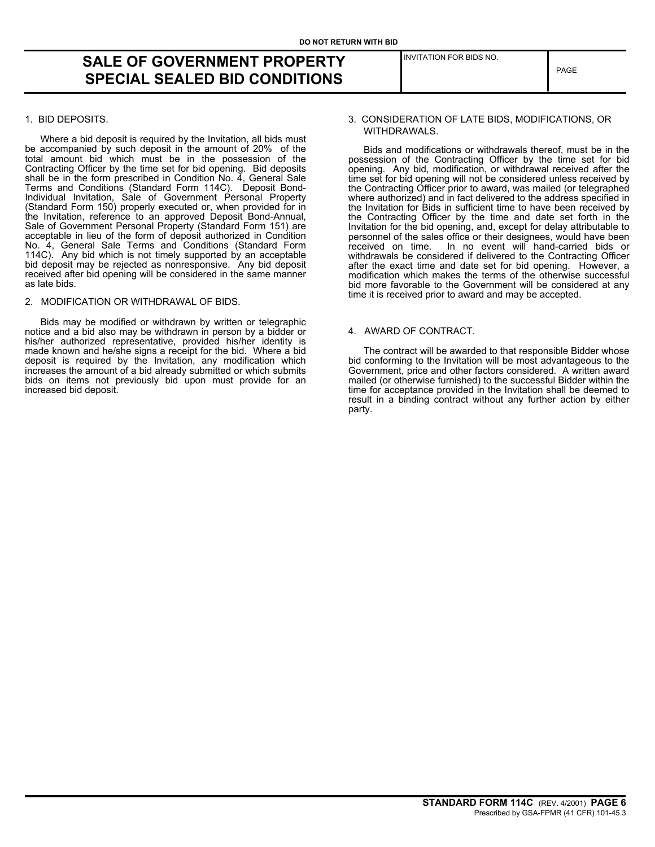# **SALE OF GOVERNMENT PROPERTY SPECIAL SEALED BID CONDITIONS**

## 1. BID DEPOSITS.

Where a bid deposit is required by the Invitation, all bids must be accompanied by such deposit in the amount of 20% of the total amount bid which must be in the possession of the Contracting Officer by the time set for bid opening. Bid deposits shall be in the form prescribed in Condition No. 4, General Sale Terms and Conditions (Standard Form 114C). Deposit Bond-Individual Invitation, Sale of Government Personal Property (Standard Form 150) properly executed or, when provided for in the Invitation, reference to an approved Deposit Bond-Annual, Sale of Government Personal Property (Standard Form 151) are acceptable in lieu of the form of deposit authorized in Condition No. 4, General Sale Terms and Conditions (Standard Form 114C). Any bid which is not timely supported by an acceptable bid deposit may be rejected as nonresponsive. Any bid deposit received after bid opening will be considered in the same manner as late bids.

#### 2. MODIFICATION OR WITHDRAWAL OF BIDS.

Bids may be modified or withdrawn by written or telegraphic notice and a bid also may be withdrawn in person by a bidder or his/her authorized representative, provided his/her identity is made known and he/she signs a receipt for the bid. Where a bid deposit is required by the Invitation, any modification which increases the amount of a bid already submitted or which submits bids on items not previously bid upon must provide for an increased bid deposit.

# 3. CONSIDERATION OF LATE BIDS, MODIFICATIONS, OR WITHDRAWALS.

INVITATION FOR BIDS NO.

Bids and modifications or withdrawals thereof, must be in the possession of the Contracting Officer by the time set for bid opening. Any bid, modification, or withdrawal received after the time set for bid opening will not be considered unless received by the Contracting Officer prior to award, was mailed (or telegraphed where authorized) and in fact delivered to the address specified in the Invitation for Bids in sufficient time to have been received by the Contracting Officer by the time and date set forth in the Invitation for the bid opening, and, except for delay attributable to personnel of the sales office or their designees, would have been received on time. In no event will hand-carried bids or In no event will hand-carried bids or withdrawals be considered if delivered to the Contracting Officer after the exact time and date set for bid opening. However, a modification which makes the terms of the otherwise successful bid more favorable to the Government will be considered at any time it is received prior to award and may be accepted.

## 4. AWARD OF CONTRACT.

The contract will be awarded to that responsible Bidder whose bid conforming to the Invitation will be most advantageous to the Government, price and other factors considered. A written award mailed (or otherwise furnished) to the successful Bidder within the time for acceptance provided in the Invitation shall be deemed to result in a binding contract without any further action by either party.

# PAGE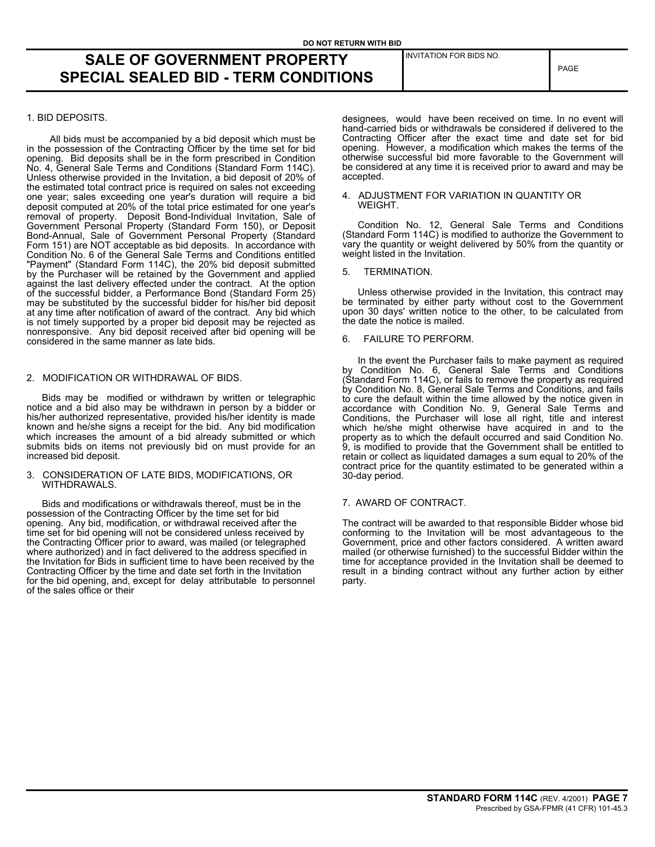INVITATION FOR BIDS NO.

# **SALE OF GOVERNMENT PROPERTY SPECIAL SEALED BID - TERM CONDITIONS**

# 1. BID DEPOSITS.

All bids must be accompanied by a bid deposit which must be in the possession of the Contracting Officer by the time set for bid opening. Bid deposits shall be in the form prescribed in Condition No. 4, General Sale Terms and Conditions (Standard Form 114C). Unless otherwise provided in the Invitation, a bid deposit of 20% of the estimated total contract price is required on sales not exceeding one year; sales exceeding one year's duration will require a bid deposit computed at 20% of the total price estimated for one year's removal of property. Deposit Bond-Individual Invitation, Sale of Government Personal Property (Standard Form 150), or Deposit Bond-Annual, Sale of Government Personal Property (Standard Form 151) are NOT acceptable as bid deposits. In accordance with Condition No. 6 of the General Sale Terms and Conditions entitled "Payment" (Standard Form 114C), the 20% bid deposit submitted by the Purchaser will be retained by the Government and applied against the last delivery effected under the contract. At the option of the successful bidder, a Performance Bond (Standard Form 25) may be substituted by the successful bidder for his/her bid deposit at any time after notification of award of the contract. Any bid which is not timely supported by a proper bid deposit may be rejected as nonresponsive. Any bid deposit received after bid opening will be considered in the same manner as late bids.

## 2. MODIFICATION OR WITHDRAWAL OF BIDS.

Bids may be modified or withdrawn by written or telegraphic notice and a bid also may be withdrawn in person by a bidder or his/her authorized representative, provided his/her identity is made known and he/she signs a receipt for the bid. Any bid modification which increases the amount of a bid already submitted or which submits bids on items not previously bid on must provide for an increased bid deposit.

#### 3. CONSIDERATION OF LATE BIDS, MODIFICATIONS, OR WITHDRAWALS.

Bids and modifications or withdrawals thereof, must be in the possession of the Contracting Officer by the time set for bid opening. Any bid, modification, or withdrawal received after the time set for bid opening will not be considered unless received by the Contracting Officer prior to award, was mailed (or telegraphed where authorized) and in fact delivered to the address specified in the Invitation for Bids in sufficient time to have been received by the Contracting Officer by the time and date set forth in the Invitation for the bid opening, and, except for delay attributable to personnel of the sales office or their

designees, would have been received on time. In no event will hand-carried bids or withdrawals be considered if delivered to the Contracting Officer after the exact time and date set for bid opening. However, a modification which makes the terms of the otherwise successful bid more favorable to the Government will be considered at any time it is received prior to award and may be accepted.

#### 4. ADJUSTMENT FOR VARIATION IN QUANTITY OR WEIGHT.

Condition No. 12, General Sale Terms and Conditions (Standard Form 114C) is modified to authorize the Government to vary the quantity or weight delivered by 50% from the quantity or weight listed in the Invitation.

5. TERMINATION.

Unless otherwise provided in the Invitation, this contract may be terminated by either party without cost to the Government upon 30 days' written notice to the other, to be calculated from the date the notice is mailed.

# 6. FAILURE TO PERFORM.

In the event the Purchaser fails to make payment as required by Condition No. 6, General Sale Terms and Conditions (Standard Form 114C), or fails to remove the property as required by Condition No. 8, General Sale Terms and Conditions, and fails to cure the default within the time allowed by the notice given in accordance with Condition No. 9, General Sale Terms and Conditions, the Purchaser will lose all right, title and interest which he/she might otherwise have acquired in and to the property as to which the default occurred and said Condition No. 9, is modified to provide that the Government shall be entitled to retain or collect as liquidated damages a sum equal to 20% of the contract price for the quantity estimated to be generated within a 30-day period.

# 7. AWARD OF CONTRACT.

The contract will be awarded to that responsible Bidder whose bid conforming to the Invitation will be most advantageous to the Government, price and other factors considered. A written award mailed (or otherwise furnished) to the successful Bidder within the time for acceptance provided in the Invitation shall be deemed to result in a binding contract without any further action by either party.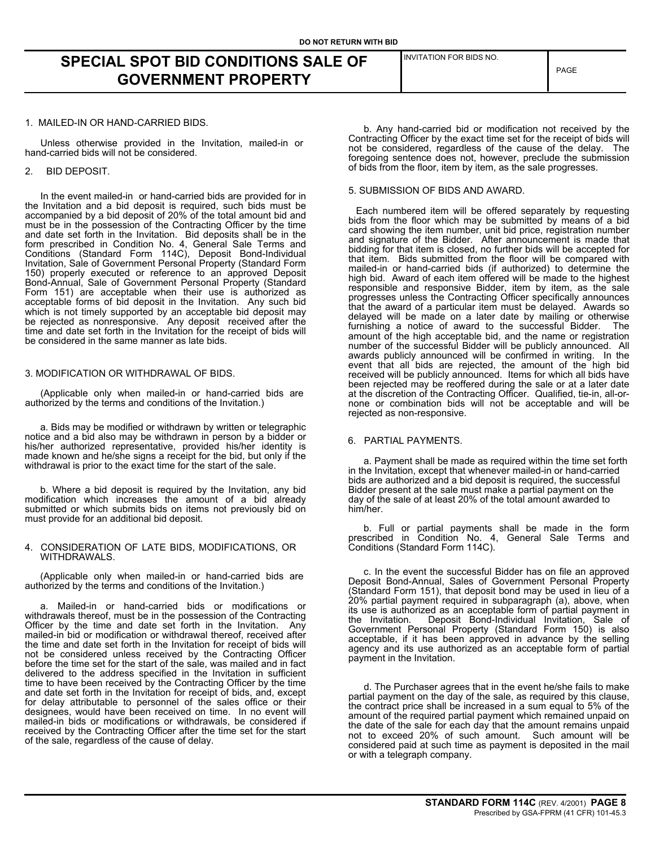**SPECIAL SPOT BID CONDITIONS SALE OF GOVERNMENT PROPERTY**

#### 1. MAILED-IN OR HAND-CARRIED BIDS.

Unless otherwise provided in the Invitation, mailed-in or hand-carried bids will not be considered.

#### 2. BID DEPOSIT.

In the event mailed-in or hand-carried bids are provided for in the Invitation and a bid deposit is required, such bids must be accompanied by a bid deposit of 20% of the total amount bid and must be in the possession of the Contracting Officer by the time and date set forth in the Invitation. Bid deposits shall be in the form prescribed in Condition No. 4, General Sale Terms and Conditions (Standard Form 114C), Deposit Bond-Individual Invitation, Sale of Government Personal Property (Standard Form 150) properly executed or reference to an approved Deposit Bond-Annual, Sale of Government Personal Property (Standard Form 151) are acceptable when their use is authorized as acceptable forms of bid deposit in the Invitation. Any such bid which is not timely supported by an acceptable bid deposit may be rejected as nonresponsive. Any deposit received after the time and date set forth in the Invitation for the receipt of bids will be considered in the same manner as late bids.

#### 3. MODIFICATION OR WITHDRAWAL OF BIDS.

(Applicable only when mailed-in or hand-carried bids are authorized by the terms and conditions of the Invitation.)

a. Bids may be modified or withdrawn by written or telegraphic notice and a bid also may be withdrawn in person by a bidder or his/her authorized representative, provided his/her identity is made known and he/she signs a receipt for the bid, but only if the withdrawal is prior to the exact time for the start of the sale.

b. Where a bid deposit is required by the Invitation, any bid modification which increases the amount of a bid already submitted or which submits bids on items not previously bid on must provide for an additional bid deposit.

#### 4. CONSIDERATION OF LATE BIDS, MODIFICATIONS, OR WITHDRAWALS.

(Applicable only when mailed-in or hand-carried bids are authorized by the terms and conditions of the Invitation.)

a. Mailed-in or hand-carried bids or modifications or withdrawals thereof, must be in the possession of the Contracting Officer by the time and date set forth in the Invitation. Any mailed-in bid or modification or withdrawal thereof, received after the time and date set forth in the Invitation for receipt of bids will not be considered unless received by the Contracting Officer before the time set for the start of the sale, was mailed and in fact delivered to the address specified in the Invitation in sufficient time to have been received by the Contracting Officer by the time and date set forth in the Invitation for receipt of bids, and, except for delay attributable to personnel of the sales office or their designees, would have been received on time. In no event will mailed-in bids or modifications or withdrawals, be considered if received by the Contracting Officer after the time set for the start of the sale, regardless of the cause of delay.

INVITATION FOR BIDS NO.

PAGE

b. Any hand-carried bid or modification not received by the Contracting Officer by the exact time set for the receipt of bids will not be considered, regardless of the cause of the delay. The foregoing sentence does not, however, preclude the submission of bids from the floor, item by item, as the sale progresses.

#### 5. SUBMISSION OF BIDS AND AWARD.

Each numbered item will be offered separately by requesting bids from the floor which may be submitted by means of a bid card showing the item number, unit bid price, registration number and signature of the Bidder. After announcement is made that bidding for that item is closed, no further bids will be accepted for that item. Bids submitted from the floor will be compared with mailed-in or hand-carried bids (if authorized) to determine the high bid. Award of each item offered will be made to the highest responsible and responsive Bidder, item by item, as the sale progresses unless the Contracting Officer specifically announces that the award of a particular item must be delayed. Awards so delayed will be made on a later date by mailing or otherwise furnishing a notice of award to the successful Bidder. The amount of the high acceptable bid, and the name or registration number of the successful Bidder will be publicly announced. All awards publicly announced will be confirmed in writing. In the event that all bids are rejected, the amount of the high bid received will be publicly announced. Items for which all bids have been rejected may be reoffered during the sale or at a later date at the discretion of the Contracting Officer. Qualified, tie-in, all-ornone or combination bids will not be acceptable and will be rejected as non-responsive.

# 6. PARTIAL PAYMENTS.

a. Payment shall be made as required within the time set forth in the Invitation, except that whenever mailed-in or hand-carried bids are authorized and a bid deposit is required, the successful Bidder present at the sale must make a partial payment on the day of the sale of at least 20% of the total amount awarded to him/her.

b. Full or partial payments shall be made in the form prescribed in Condition No. 4, General Sale Terms and Conditions (Standard Form 114C).

c. In the event the successful Bidder has on file an approved Deposit Bond-Annual, Sales of Government Personal Property (Standard Form 151), that deposit bond may be used in lieu of a 20% partial payment required in subparagraph (a), above, when its use is authorized as an acceptable form of partial payment in the Invitation. Deposit Bond-Individual Invitation, Sale of the Invitation. Deposit Bond-Individual Invitation, Sale of<br>Government Personal Property (Standard Form 150) is also acceptable, if it has been approved in advance by the selling agency and its use authorized as an acceptable form of partial payment in the Invitation.

d. The Purchaser agrees that in the event he/she fails to make partial payment on the day of the sale, as required by this clause, the contract price shall be increased in a sum equal to 5% of the amount of the required partial payment which remained unpaid on the date of the sale for each day that the amount remains unpaid not to exceed 20% of such amount. Such amount will be considered paid at such time as payment is deposited in the mail or with a telegraph company.